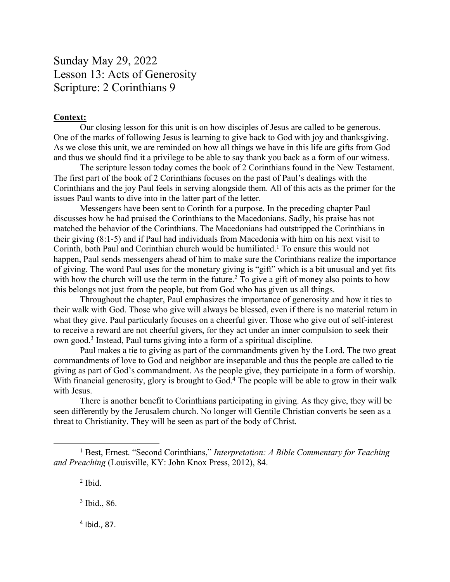## Sunday May 29, 2022 Lesson 13: Acts of Generosity Scripture: 2 Corinthians 9

## **Context:**

Our closing lesson for this unit is on how disciples of Jesus are called to be generous. One of the marks of following Jesus is learning to give back to God with joy and thanksgiving. As we close this unit, we are reminded on how all things we have in this life are gifts from God and thus we should find it a privilege to be able to say thank you back as a form of our witness.

The scripture lesson today comes the book of 2 Corinthians found in the New Testament. The first part of the book of 2 Corinthians focuses on the past of Paul's dealings with the Corinthians and the joy Paul feels in serving alongside them. All of this acts as the primer for the issues Paul wants to dive into in the latter part of the letter.

Messengers have been sent to Corinth for a purpose. In the preceding chapter Paul discusses how he had praised the Corinthians to the Macedonians. Sadly, his praise has not matched the behavior of the Corinthians. The Macedonians had outstripped the Corinthians in their giving (8:1-5) and if Paul had individuals from Macedonia with him on his next visit to Corinth, both Paul and Corinthian church would be humiliated.1 To ensure this would not happen, Paul sends messengers ahead of him to make sure the Corinthians realize the importance of giving. The word Paul uses for the monetary giving is "gift" which is a bit unusual and yet fits with how the church will use the term in the future.<sup>2</sup> To give a gift of money also points to how this belongs not just from the people, but from God who has given us all things.

Throughout the chapter, Paul emphasizes the importance of generosity and how it ties to their walk with God. Those who give will always be blessed, even if there is no material return in what they give. Paul particularly focuses on a cheerful giver. Those who give out of self-interest to receive a reward are not cheerful givers, for they act under an inner compulsion to seek their own good.3 Instead, Paul turns giving into a form of a spiritual discipline.

Paul makes a tie to giving as part of the commandments given by the Lord. The two great commandments of love to God and neighbor are inseparable and thus the people are called to tie giving as part of God's commandment. As the people give, they participate in a form of worship. With financial generosity, glory is brought to God.<sup>4</sup> The people will be able to grow in their walk with Jesus.

There is another benefit to Corinthians participating in giving. As they give, they will be seen differently by the Jerusalem church. No longer will Gentile Christian converts be seen as a threat to Christianity. They will be seen as part of the body of Christ.

<sup>3</sup> Ibid., 86.

<sup>4</sup> Ibid., 87.

<sup>1</sup> Best, Ernest. "Second Corinthians," *Interpretation: A Bible Commentary for Teaching and Preaching* (Louisville, KY: John Knox Press, 2012), 84.

 $<sup>2</sup>$  Ibid.</sup>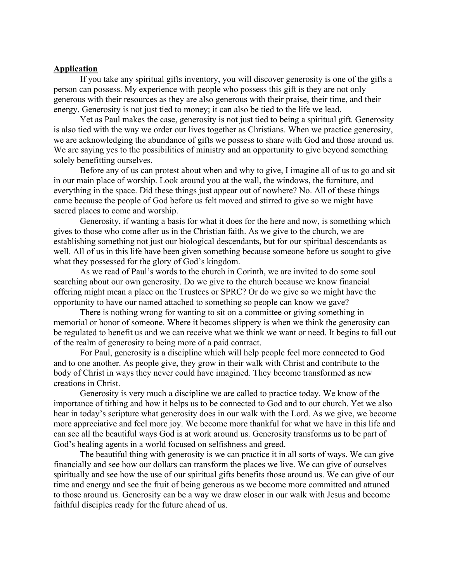## **Application**

If you take any spiritual gifts inventory, you will discover generosity is one of the gifts a person can possess. My experience with people who possess this gift is they are not only generous with their resources as they are also generous with their praise, their time, and their energy. Generosity is not just tied to money; it can also be tied to the life we lead.

Yet as Paul makes the case, generosity is not just tied to being a spiritual gift. Generosity is also tied with the way we order our lives together as Christians. When we practice generosity, we are acknowledging the abundance of gifts we possess to share with God and those around us. We are saying yes to the possibilities of ministry and an opportunity to give beyond something solely benefitting ourselves.

Before any of us can protest about when and why to give, I imagine all of us to go and sit in our main place of worship. Look around you at the wall, the windows, the furniture, and everything in the space. Did these things just appear out of nowhere? No. All of these things came because the people of God before us felt moved and stirred to give so we might have sacred places to come and worship.

Generosity, if wanting a basis for what it does for the here and now, is something which gives to those who come after us in the Christian faith. As we give to the church, we are establishing something not just our biological descendants, but for our spiritual descendants as well. All of us in this life have been given something because someone before us sought to give what they possessed for the glory of God's kingdom.

As we read of Paul's words to the church in Corinth, we are invited to do some soul searching about our own generosity. Do we give to the church because we know financial offering might mean a place on the Trustees or SPRC? Or do we give so we might have the opportunity to have our named attached to something so people can know we gave?

There is nothing wrong for wanting to sit on a committee or giving something in memorial or honor of someone. Where it becomes slippery is when we think the generosity can be regulated to benefit us and we can receive what we think we want or need. It begins to fall out of the realm of generosity to being more of a paid contract.

For Paul, generosity is a discipline which will help people feel more connected to God and to one another. As people give, they grow in their walk with Christ and contribute to the body of Christ in ways they never could have imagined. They become transformed as new creations in Christ.

Generosity is very much a discipline we are called to practice today. We know of the importance of tithing and how it helps us to be connected to God and to our church. Yet we also hear in today's scripture what generosity does in our walk with the Lord. As we give, we become more appreciative and feel more joy. We become more thankful for what we have in this life and can see all the beautiful ways God is at work around us. Generosity transforms us to be part of God's healing agents in a world focused on selfishness and greed.

The beautiful thing with generosity is we can practice it in all sorts of ways. We can give financially and see how our dollars can transform the places we live. We can give of ourselves spiritually and see how the use of our spiritual gifts benefits those around us. We can give of our time and energy and see the fruit of being generous as we become more committed and attuned to those around us. Generosity can be a way we draw closer in our walk with Jesus and become faithful disciples ready for the future ahead of us.